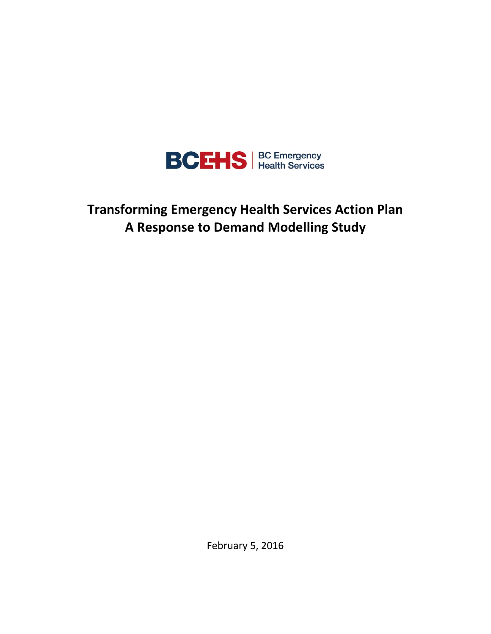

**Transforming Emergency Health Services Action Plan A Response to Demand Modelling Study**

February 5, 2016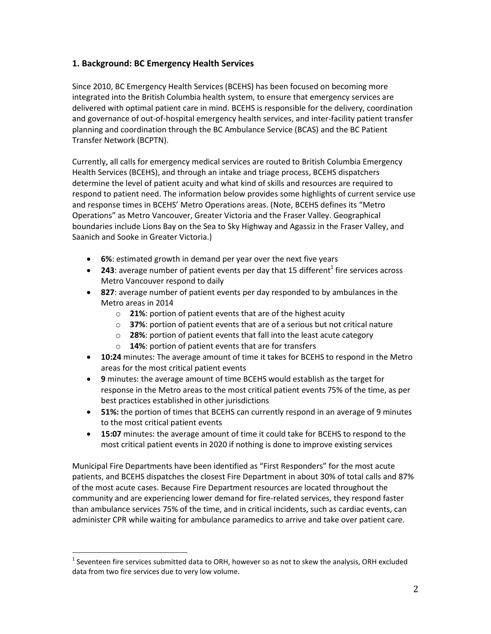# **1. Background: BC Emergency Health Services**

Since 2010, BC Emergency Health Services (BCEHS) has been focused on becoming more integrated into the British Columbia health system, to ensure that emergency services are delivered with optimal patient care in mind. BCEHS is responsible for the delivery, coordination and governance of out-of-hospital emergency health services, and inter-facility patient transfer planning and coordination through the BC Ambulance Service (BCAS) and the BC Patient Transfer Network (BCPTN).

Currently, all calls for emergency medical services are routed to British Columbia Emergency Health Services (BCEHS), and through an intake and triage process, BCEHS dispatchers determine the level of patient acuity and what kind of skills and resources are required to respond to patient need. The information below provides some highlights of current service use and response times in BCEHS' Metro Operations areas. (Note, BCEHS defines its "Metro Operations" as Metro Vancouver, Greater Victoria and the Fraser Valley. Geographical boundaries include Lions Bay on the Sea to Sky Highway and Agassiz in the Fraser Valley, and Saanich and Sooke in Greater Victoria.)

- **6%**: estimated growth in demand per year over the next five years
- $\bullet$  **243**: average number of patient events per day that 15 different<sup>1</sup> fire services across Metro Vancouver respond to daily
- **827**: average number of patient events per day responded to by ambulances in the Metro areas in 2014
	- o **21%**: portion of patient events that are of the highest acuity
	- o **37%**: portion of patient events that are of a serious but not critical nature
	- o **28%**: portion of patient events that fall into the least acute category
	- o **14%**: portion of patient events that are for transfers
- **10:24** minutes: The average amount of time it takes for BCEHS to respond in the Metro areas for the most critical patient events
- **9** minutes: the average amount of time BCEHS would establish as the target for response in the Metro areas to the most critical patient events 75% of the time, as per best practices established in other jurisdictions
- **51%:** the portion of times that BCEHS can currently respond in an average of 9 minutes to the most critical patient events
- **15:07** minutes: the average amount of time it could take for BCEHS to respond to the most critical patient events in 2020 if nothing is done to improve existing services

Municipal Fire Departments have been identified as "First Responders" for the most acute patients, and BCEHS dispatches the closest Fire Department in about 30% of total calls and 87% of the most acute cases. Because Fire Department resources are located throughout the community and are experiencing lower demand for fire-related services, they respond faster than ambulance services 75% of the time, and in critical incidents, such as cardiac events, can administer CPR while waiting for ambulance paramedics to arrive and take over patient care.

l

 $^{1}$  Seventeen fire services submitted data to ORH, however so as not to skew the analysis, ORH excluded data from two fire services due to very low volume.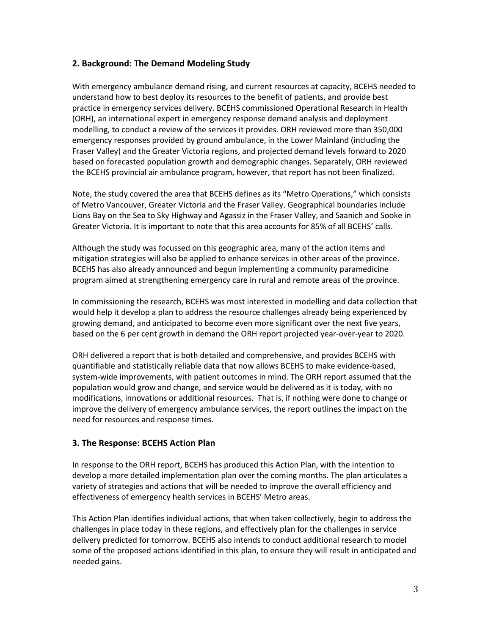# **2. Background: The Demand Modeling Study**

With emergency ambulance demand rising, and current resources at capacity, BCEHS needed to understand how to best deploy its resources to the benefit of patients, and provide best practice in emergency services delivery. BCEHS commissioned Operational Research in Health (ORH), an international expert in emergency response demand analysis and deployment modelling, to conduct a review of the services it provides. ORH reviewed more than 350,000 emergency responses provided by ground ambulance, in the Lower Mainland (including the Fraser Valley) and the Greater Victoria regions, and projected demand levels forward to 2020 based on forecasted population growth and demographic changes. Separately, ORH reviewed the BCEHS provincial air ambulance program, however, that report has not been finalized.

Note, the study covered the area that BCEHS defines as its "Metro Operations," which consists of Metro Vancouver, Greater Victoria and the Fraser Valley. Geographical boundaries include Lions Bay on the Sea to Sky Highway and Agassiz in the Fraser Valley, and Saanich and Sooke in Greater Victoria. It is important to note that this area accounts for 85% of all BCEHS' calls.

Although the study was focussed on this geographic area, many of the action items and mitigation strategies will also be applied to enhance services in other areas of the province. BCEHS has also already announced and begun implementing a community paramedicine program aimed at strengthening emergency care in rural and remote areas of the province.

In commissioning the research, BCEHS was most interested in modelling and data collection that would help it develop a plan to address the resource challenges already being experienced by growing demand, and anticipated to become even more significant over the next five years, based on the 6 per cent growth in demand the ORH report projected year-over-year to 2020.

ORH delivered a report that is both detailed and comprehensive, and provides BCEHS with quantifiable and statistically reliable data that now allows BCEHS to make evidence-based, system-wide improvements, with patient outcomes in mind. The ORH report assumed that the population would grow and change, and service would be delivered as it is today, with no modifications, innovations or additional resources. That is, if nothing were done to change or improve the delivery of emergency ambulance services, the report outlines the impact on the need for resources and response times.

## **3. The Response: BCEHS Action Plan**

In response to the ORH report, BCEHS has produced this Action Plan, with the intention to develop a more detailed implementation plan over the coming months. The plan articulates a variety of strategies and actions that will be needed to improve the overall efficiency and effectiveness of emergency health services in BCEHS' Metro areas.

This Action Plan identifies individual actions, that when taken collectively, begin to address the challenges in place today in these regions, and effectively plan for the challenges in service delivery predicted for tomorrow. BCEHS also intends to conduct additional research to model some of the proposed actions identified in this plan, to ensure they will result in anticipated and needed gains.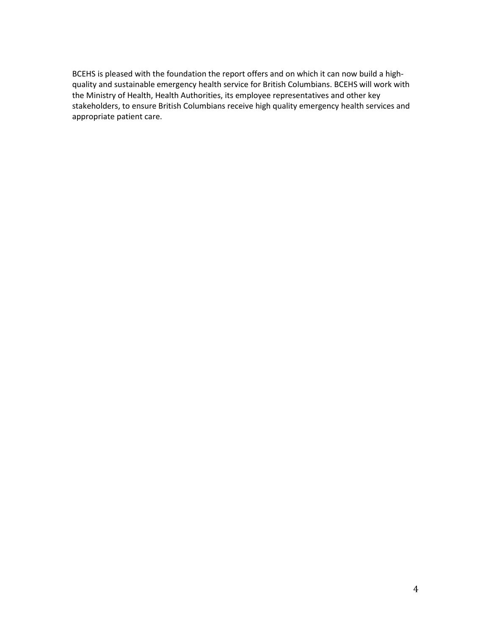BCEHS is pleased with the foundation the report offers and on which it can now build a highquality and sustainable emergency health service for British Columbians. BCEHS will work with the Ministry of Health, Health Authorities, its employee representatives and other key stakeholders, to ensure British Columbians receive high quality emergency health services and appropriate patient care.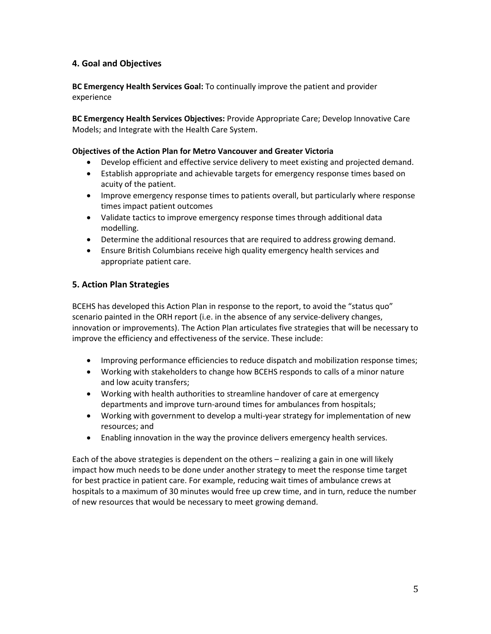# **4. Goal and Objectives**

**BC Emergency Health Services Goal:** To continually improve the patient and provider experience

**BC Emergency Health Services Objectives:** Provide Appropriate Care; Develop Innovative Care Models; and Integrate with the Health Care System.

#### **Objectives of the Action Plan for Metro Vancouver and Greater Victoria**

- Develop efficient and effective service delivery to meet existing and projected demand.
- Establish appropriate and achievable targets for emergency response times based on acuity of the patient.
- Improve emergency response times to patients overall, but particularly where response times impact patient outcomes
- Validate tactics to improve emergency response times through additional data modelling.
- Determine the additional resources that are required to address growing demand.
- Ensure British Columbians receive high quality emergency health services and appropriate patient care.

### **5. Action Plan Strategies**

BCEHS has developed this Action Plan in response to the report, to avoid the "status quo" scenario painted in the ORH report (i.e. in the absence of any service-delivery changes, innovation or improvements). The Action Plan articulates five strategies that will be necessary to improve the efficiency and effectiveness of the service. These include:

- Improving performance efficiencies to reduce dispatch and mobilization response times;
- Working with stakeholders to change how BCEHS responds to calls of a minor nature and low acuity transfers;
- Working with health authorities to streamline handover of care at emergency departments and improve turn-around times for ambulances from hospitals;
- Working with government to develop a multi-year strategy for implementation of new resources; and
- Enabling innovation in the way the province delivers emergency health services.

Each of the above strategies is dependent on the others – realizing a gain in one will likely impact how much needs to be done under another strategy to meet the response time target for best practice in patient care. For example, reducing wait times of ambulance crews at hospitals to a maximum of 30 minutes would free up crew time, and in turn, reduce the number of new resources that would be necessary to meet growing demand.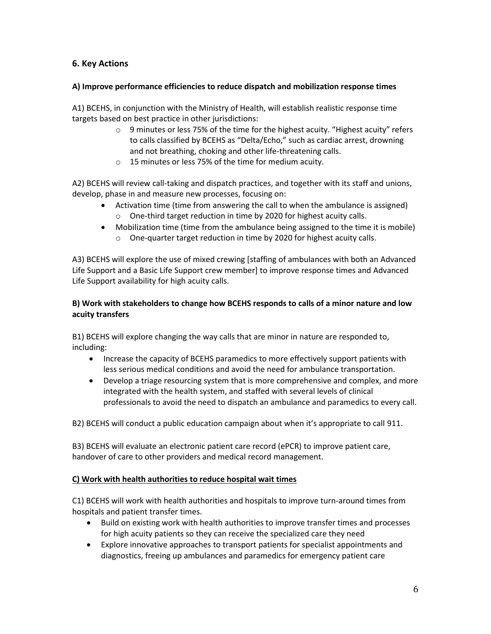# **6. Key Actions**

### **A) Improve performance efficiencies to reduce dispatch and mobilization response times**

A1) BCEHS, in conjunction with the Ministry of Health, will establish realistic response time targets based on best practice in other jurisdictions:

- o 9 minutes or less 75% of the time for the highest acuity. "Highest acuity" refers to calls classified by BCEHS as "Delta/Echo," such as cardiac arrest, drowning and not breathing, choking and other life-threatening calls.
- o 15 minutes or less 75% of the time for medium acuity.

A2) BCEHS will review call-taking and dispatch practices, and together with its staff and unions, develop, phase in and measure new processes, focusing on:

- Activation time (time from answering the call to when the ambulance is assigned) o One-third target reduction in time by 2020 for highest acuity calls.
- Mobilization time (time from the ambulance being assigned to the time it is mobile)
	- o One-quarter target reduction in time by 2020 for highest acuity calls.

A3) BCEHS will explore the use of mixed crewing [staffing of ambulances with both an Advanced Life Support and a Basic Life Support crew member] to improve response times and Advanced Life Support availability for high acuity calls.

### **B) Work with stakeholders to change how BCEHS responds to calls of a minor nature and low acuity transfers**

B1) BCEHS will explore changing the way calls that are minor in nature are responded to, including:

- Increase the capacity of BCEHS paramedics to more effectively support patients with less serious medical conditions and avoid the need for ambulance transportation.
- Develop a triage resourcing system that is more comprehensive and complex, and more integrated with the health system, and staffed with several levels of clinical professionals to avoid the need to dispatch an ambulance and paramedics to every call.

B2) BCEHS will conduct a public education campaign about when it's appropriate to call 911.

B3) BCEHS will evaluate an electronic patient care record (ePCR) to improve patient care, handover of care to other providers and medical record management.

### **C) Work with health authorities to reduce hospital wait times**

C1) BCEHS will work with health authorities and hospitals to improve turn-around times from hospitals and patient transfer times.

- Build on existing work with health authorities to improve transfer times and processes for high acuity patients so they can receive the specialized care they need
- Explore innovative approaches to transport patients for specialist appointments and diagnostics, freeing up ambulances and paramedics for emergency patient care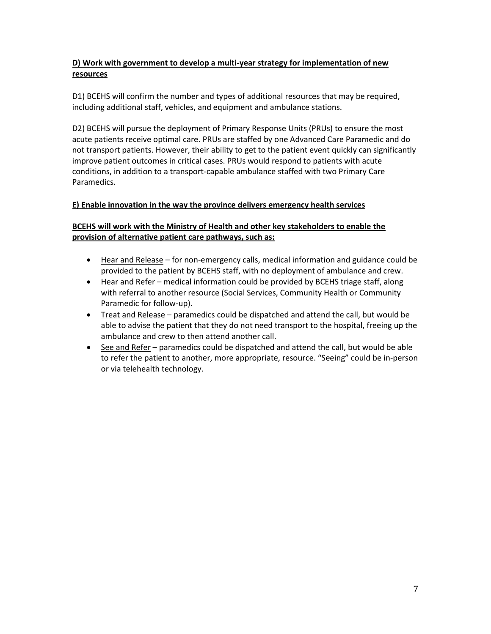# **D) Work with government to develop a multi-year strategy for implementation of new resources**

D1) BCEHS will confirm the number and types of additional resources that may be required, including additional staff, vehicles, and equipment and ambulance stations.

D2) BCEHS will pursue the deployment of Primary Response Units (PRUs) to ensure the most acute patients receive optimal care. PRUs are staffed by one Advanced Care Paramedic and do not transport patients. However, their ability to get to the patient event quickly can significantly improve patient outcomes in critical cases. PRUs would respond to patients with acute conditions, in addition to a transport-capable ambulance staffed with two Primary Care Paramedics.

## **E) Enable innovation in the way the province delivers emergency health services**

# **BCEHS will work with the Ministry of Health and other key stakeholders to enable the provision of alternative patient care pathways, such as:**

- Hear and Release for non-emergency calls, medical information and guidance could be provided to the patient by BCEHS staff, with no deployment of ambulance and crew.
- Hear and Refer medical information could be provided by BCEHS triage staff, along with referral to another resource (Social Services, Community Health or Community Paramedic for follow-up).
- Treat and Release paramedics could be dispatched and attend the call, but would be able to advise the patient that they do not need transport to the hospital, freeing up the ambulance and crew to then attend another call.
- See and Refer paramedics could be dispatched and attend the call, but would be able to refer the patient to another, more appropriate, resource. "Seeing" could be in-person or via telehealth technology.